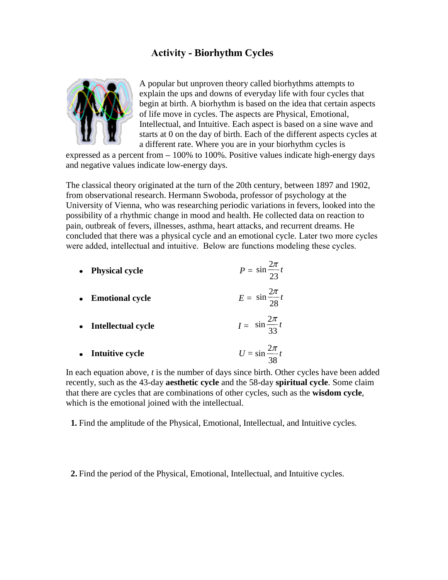## **Activity - Biorhythm Cycles**



A popular but unproven theory called biorhythms attempts to explain the ups and downs of everyday life with four cycles that begin at birth. A biorhythm is based on the idea that certain aspects of life move in cycles. The aspects are Physical, Emotional, Intellectual, and Intuitive. Each aspect is based on a sine wave and starts at 0 on the day of birth. Each of the different aspects cycles at a different rate. Where you are in your biorhythm cycles is

expressed as a percent from  $-100\%$  to 100%. Positive values indicate high-energy days and negative values indicate low-energy days.

The classical theory originated at the turn of the 20th century, between 1897 and 1902, from observational research. Hermann Swoboda, professor of psychology at the University of Vienna, who was researching periodic variations in fevers, looked into the possibility of a rhythmic change in mood and health. He collected data on reaction to pain, outbreak of fevers, illnesses, asthma, heart attacks, and recurrent dreams. He concluded that there was a physical cycle and an emotional cycle. Later two more cycles were added, intellectual and intuitive. Below are functions modeling these cycles.

| • Physical cycle     | $P = \sin \frac{2\pi}{23} t$ |
|----------------------|------------------------------|
| • Emotional cycle    | $E = \sin \frac{2\pi}{28}t$  |
| • Intellectual cycle | $I = \sin \frac{2\pi}{33}t$  |
| • Intuitive cycle    | $U = \sin \frac{2\pi}{t}$    |

In each equation above, *t* is the number of days since birth. Other cycles have been added recently, such as the 43-day **aesthetic cycle** and the 58-day **spiritual cycle**. Some claim that there are cycles that are combinations of other cycles, such as the **wisdom cycle**, which is the emotional joined with the intellectual.

38

**1.** Find the amplitude of the Physical, Emotional, Intellectual, and Intuitive cycles.

**2.** Find the period of the Physical, Emotional, Intellectual, and Intuitive cycles.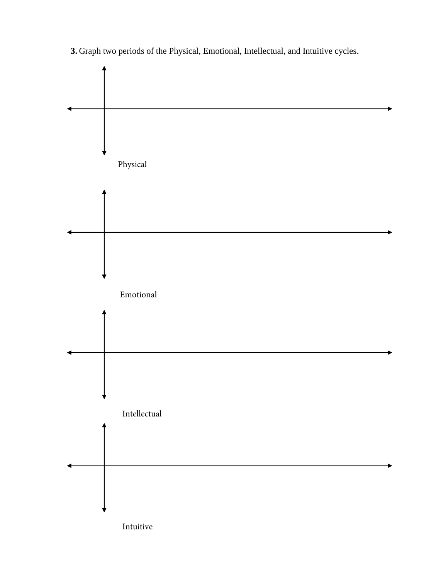